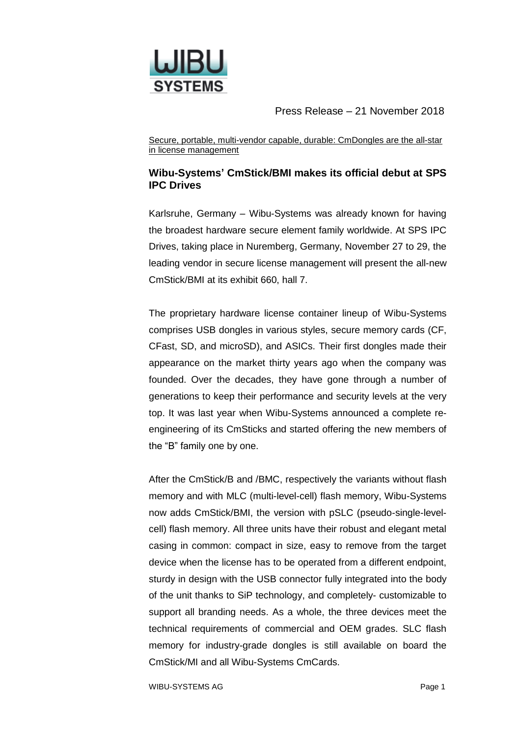

Secure, portable, multi-vendor capable, durable: CmDongles are the all-star in license management

# **Wibu-Systems' CmStick/BMI makes its official debut at SPS IPC Drives**

Karlsruhe, Germany – Wibu-Systems was already known for having the broadest hardware secure element family worldwide. At SPS IPC Drives, taking place in Nuremberg, Germany, November 27 to 29, the leading vendor in secure license management will present the all-new CmStick/BMI at its exhibit 660, hall 7.

The proprietary hardware license container lineup of Wibu-Systems comprises USB dongles in various styles, secure memory cards (CF, CFast, SD, and microSD), and ASICs. Their first dongles made their appearance on the market thirty years ago when the company was founded. Over the decades, they have gone through a number of generations to keep their performance and security levels at the very top. It was last year when Wibu-Systems announced a complete reengineering of its CmSticks and started offering the new members of the "B" family one by one.

After the CmStick/B and /BMC, respectively the variants without flash memory and with MLC (multi-level-cell) flash memory, Wibu-Systems now adds CmStick/BMI, the version with pSLC (pseudo-single-levelcell) flash memory. All three units have their robust and elegant metal casing in common: compact in size, easy to remove from the target device when the license has to be operated from a different endpoint, sturdy in design with the USB connector fully integrated into the body of the unit thanks to SiP technology, and completely- customizable to support all branding needs. As a whole, the three devices meet the technical requirements of commercial and OEM grades. SLC flash memory for industry-grade dongles is still available on board the CmStick/MI and all Wibu-Systems CmCards.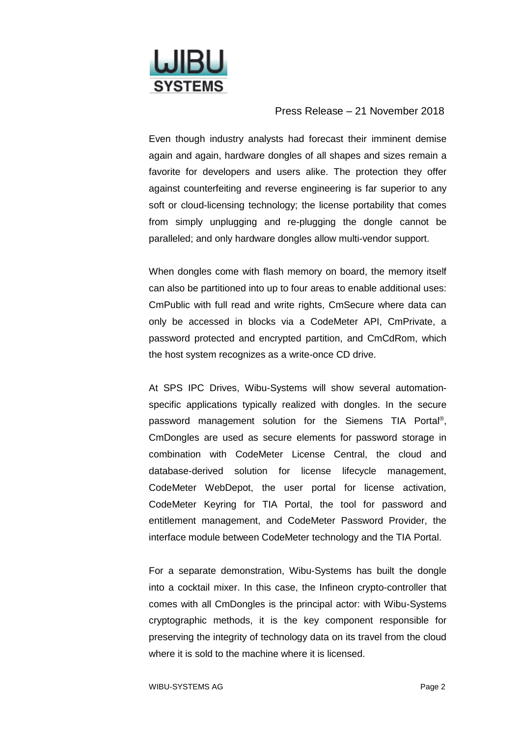

Even though industry analysts had forecast their imminent demise again and again, hardware dongles of all shapes and sizes remain a favorite for developers and users alike. The protection they offer against counterfeiting and reverse engineering is far superior to any soft or cloud-licensing technology; the license portability that comes from simply unplugging and re-plugging the dongle cannot be paralleled; and only hardware dongles allow multi-vendor support.

When dongles come with flash memory on board, the memory itself can also be partitioned into up to four areas to enable additional uses: CmPublic with full read and write rights, CmSecure where data can only be accessed in blocks via a CodeMeter API, CmPrivate, a password protected and encrypted partition, and CmCdRom, which the host system recognizes as a write-once CD drive.

At SPS IPC Drives, Wibu-Systems will show several automationspecific applications typically realized with dongles. In the secure password management solution for the Siemens TIA Portal®, CmDongles are used as secure elements for password storage in combination with CodeMeter License Central, the cloud and database-derived solution for license lifecycle management, CodeMeter WebDepot, the user portal for license activation, CodeMeter Keyring for TIA Portal, the tool for password and entitlement management, and CodeMeter Password Provider, the interface module between CodeMeter technology and the TIA Portal.

For a separate demonstration, Wibu-Systems has built the dongle into a cocktail mixer. In this case, the Infineon crypto-controller that comes with all CmDongles is the principal actor: with Wibu-Systems cryptographic methods, it is the key component responsible for preserving the integrity of technology data on its travel from the cloud where it is sold to the machine where it is licensed.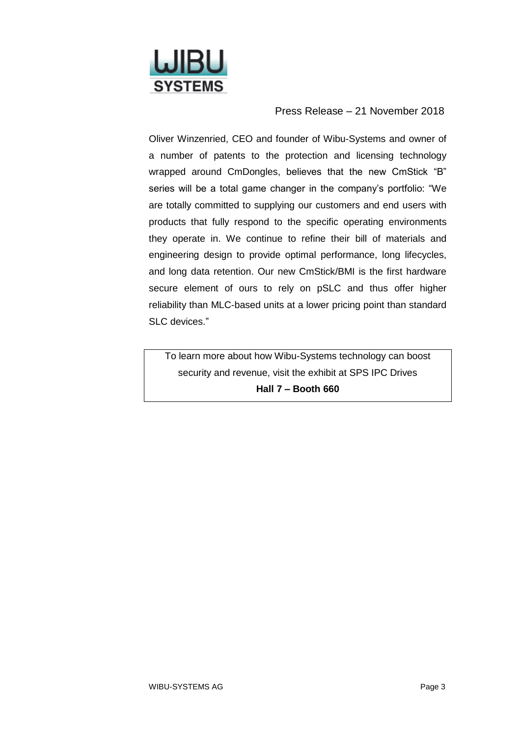

Oliver Winzenried, CEO and founder of Wibu-Systems and owner of a number of patents to the protection and licensing technology wrapped around CmDongles, believes that the new CmStick "B" series will be a total game changer in the company's portfolio: "We are totally committed to supplying our customers and end users with products that fully respond to the specific operating environments they operate in. We continue to refine their bill of materials and engineering design to provide optimal performance, long lifecycles, and long data retention. Our new CmStick/BMI is the first hardware secure element of ours to rely on pSLC and thus offer higher reliability than MLC-based units at a lower pricing point than standard SLC devices."

To learn more about how Wibu-Systems technology can boost security and revenue, visit the exhibit at SPS IPC Drives **Hall 7 – Booth 660**